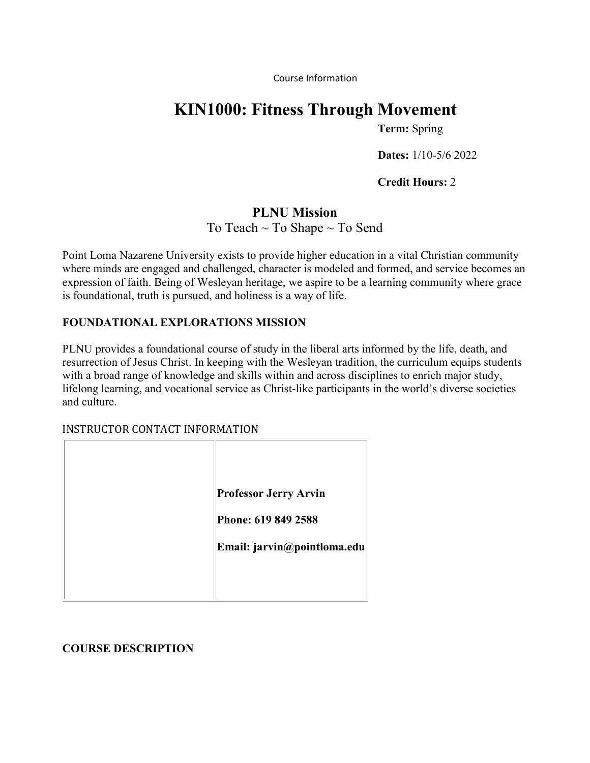Course Information

# **KIN1000: Fitness Through Movement**

**Term:** Spring

**Dates:** 1/10-5/6 2022

**Credit Hours:** 2

# **PLNU Mission** To Teach  $\sim$  To Shape  $\sim$  To Send

Point Loma Nazarene University exists to provide higher education in a vital Christian community where minds are engaged and challenged, character is modeled and formed, and service becomes an expression of faith. Being of Wesleyan heritage, we aspire to be a learning community where grace is foundational, truth is pursued, and holiness is a way of life.

## **FOUNDATIONAL EXPLORATIONS MISSION**

PLNU provides a foundational course of study in the liberal arts informed by the life, death, and resurrection of Jesus Christ. In keeping with the Wesleyan tradition, the curriculum equips students with a broad range of knowledge and skills within and across disciplines to enrich major study, lifelong learning, and vocational service as Christ-like participants in the world's diverse societies and culture.

## INSTRUCTOR CONTACT INFORMATION

| <b>Professor Jerry Arvin</b> |
|------------------------------|
| Phone: 619 849 2588          |
| Email: jarvin@pointloma.edu  |
|                              |
|                              |

# **COURSE DESCRIPTION**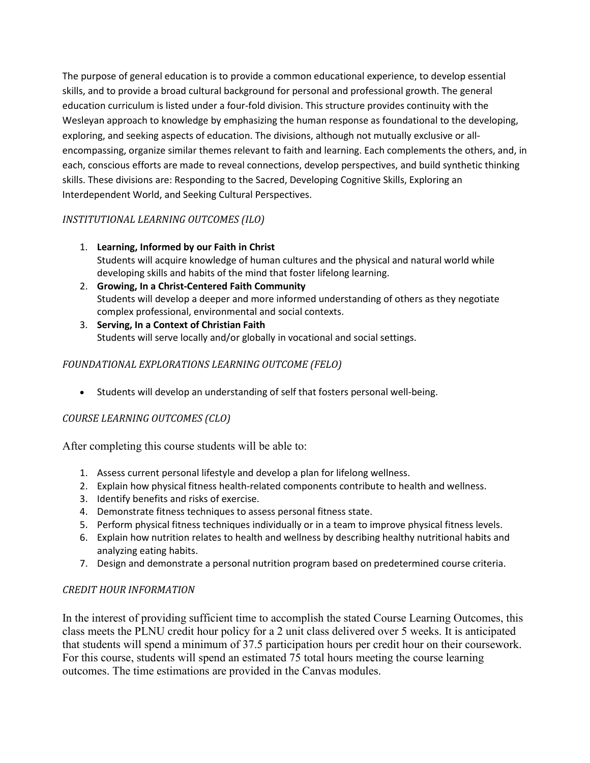The purpose of general education is to provide a common educational experience, to develop essential skills, and to provide a broad cultural background for personal and professional growth. The general education curriculum is listed under a four-fold division. This structure provides continuity with the Wesleyan approach to knowledge by emphasizing the human response as foundational to the developing, exploring, and seeking aspects of education. The divisions, although not mutually exclusive or allencompassing, organize similar themes relevant to faith and learning. Each complements the others, and, in each, conscious efforts are made to reveal connections, develop perspectives, and build synthetic thinking skills. These divisions are: Responding to the Sacred, Developing Cognitive Skills, Exploring an Interdependent World, and Seeking Cultural Perspectives.

# *INSTITUTIONAL LEARNING OUTCOMES (ILO)*

- 1. **Learning, Informed by our Faith in Christ** Students will acquire knowledge of human cultures and the physical and natural world while developing skills and habits of the mind that foster lifelong learning.
- 2. **Growing, In a Christ-Centered Faith Community** Students will develop a deeper and more informed understanding of others as they negotiate complex professional, environmental and social contexts.
- 3. **Serving, In a Context of Christian Faith** Students will serve locally and/or globally in vocational and social settings.

## *FOUNDATIONAL EXPLORATIONS LEARNING OUTCOME (FELO)*

• Students will develop an understanding of self that fosters personal well-being.

# *COURSE LEARNING OUTCOMES (CLO)*

After completing this course students will be able to:

- 1. Assess current personal lifestyle and develop a plan for lifelong wellness.
- 2. Explain how physical fitness health-related components contribute to health and wellness.
- 3. Identify benefits and risks of exercise.
- 4. Demonstrate fitness techniques to assess personal fitness state.
- 5. Perform physical fitness techniques individually or in a team to improve physical fitness levels.
- 6. Explain how nutrition relates to health and wellness by describing healthy nutritional habits and analyzing eating habits.
- 7. Design and demonstrate a personal nutrition program based on predetermined course criteria.

## *CREDIT HOUR INFORMATION*

In the interest of providing sufficient time to accomplish the stated Course Learning Outcomes, this class meets the PLNU credit hour policy for a 2 unit class delivered over 5 weeks. It is anticipated that students will spend a minimum of 37.5 participation hours per credit hour on their coursework. For this course, students will spend an estimated 75 total hours meeting the course learning outcomes. The time estimations are provided in the Canvas modules.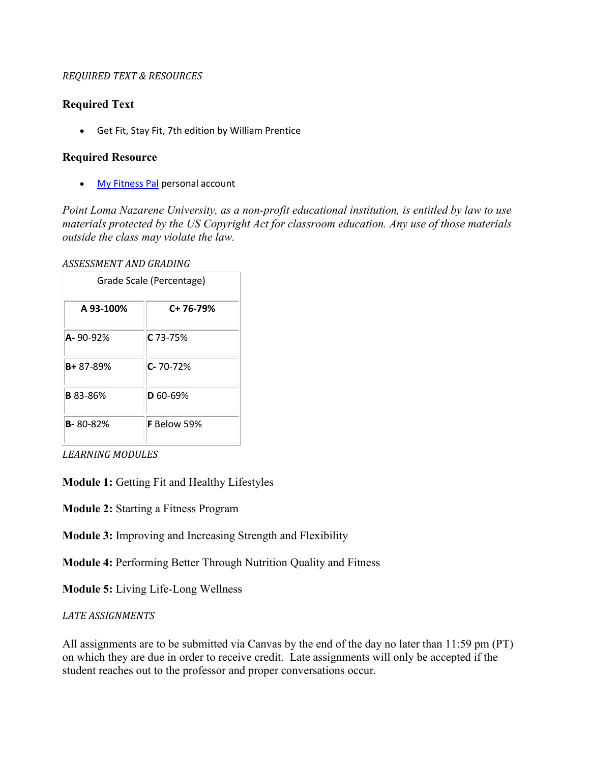#### *REQUIRED TEXT & RESOURCES*

#### **Required Text**

• Get Fit, Stay Fit, 7th edition by William Prentice

#### **Required Resource**

• [My Fitness Pal](https://www.myfitnesspal.com/) personal account

*Point Loma Nazarene University, as a non-profit educational institution, is entitled by law to use materials protected by the US Copyright Act for classroom education. Any use of those materials outside the class may violate the law.*

*ASSESSMENT AND GRADING*

| Grade Scale (Percentage) |                |
|--------------------------|----------------|
| A 93-100%                | C+ 76-79%      |
| $A - 90 - 92%$           | C 73-75%       |
| <b>B+</b> 87-89%         | $C - 70 - 72%$ |
| <b>B</b> 83-86%          | D 60-69%       |
| <b>B-80-82%</b>          | F Below 59%    |

*LEARNING MODULES*

**Module 1:** Getting Fit and Healthy Lifestyles

**Module 2:** Starting a Fitness Program

**Module 3:** Improving and Increasing Strength and Flexibility

**Module 4:** Performing Better Through Nutrition Quality and Fitness

**Module 5:** Living Life-Long Wellness

#### *LATE ASSIGNMENTS*

All assignments are to be submitted via Canvas by the end of the day no later than 11:59 pm (PT) on which they are due in order to receive credit. Late assignments will only be accepted if the student reaches out to the professor and proper conversations occur.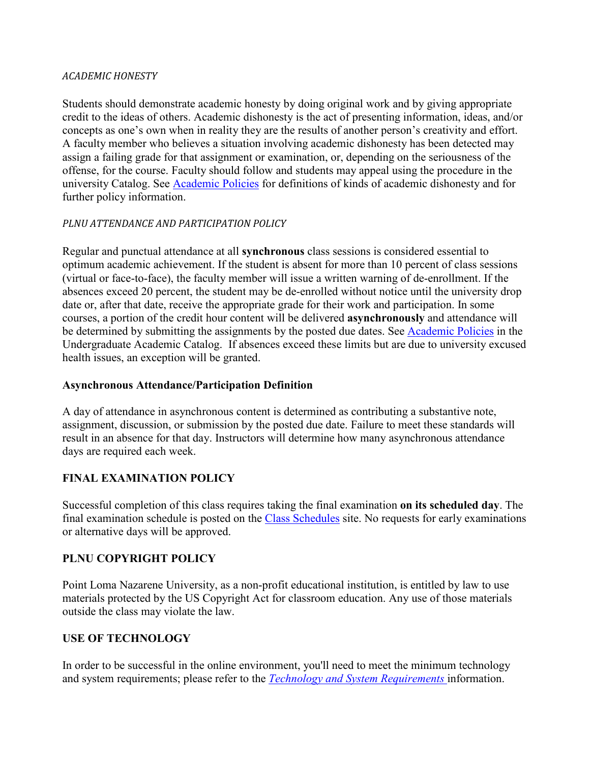#### *ACADEMIC HONESTY*

Students should demonstrate academic honesty by doing original work and by giving appropriate credit to the ideas of others. Academic dishonesty is the act of presenting information, ideas, and/or concepts as one's own when in reality they are the results of another person's creativity and effort. A faculty member who believes a situation involving academic dishonesty has been detected may assign a failing grade for that assignment or examination, or, depending on the seriousness of the offense, for the course. Faculty should follow and students may appeal using the procedure in the university Catalog. See [Academic Policies](https://catalog.pointloma.edu/content.php?catoid=41&navoid=2435#Academic_Honesty) for definitions of kinds of academic dishonesty and for further policy information.

#### *PLNU ATTENDANCE AND PARTICIPATION POLICY*

Regular and punctual attendance at all **synchronous** class sessions is considered essential to optimum academic achievement. If the student is absent for more than 10 percent of class sessions (virtual or face-to-face), the faculty member will issue a written warning of de-enrollment. If the absences exceed 20 percent, the student may be de-enrolled without notice until the university drop date or, after that date, receive the appropriate grade for their work and participation. In some courses, a portion of the credit hour content will be delivered **asynchronously** and attendance will be determined by submitting the assignments by the posted due dates. See [Academic Policies](https://catalog.pointloma.edu/content.php?catoid=46&navoid=2650#Class_Attendance) in the Undergraduate Academic Catalog. If absences exceed these limits but are due to university excused health issues, an exception will be granted.

### **Asynchronous Attendance/Participation Definition**

A day of attendance in asynchronous content is determined as contributing a substantive note, assignment, discussion, or submission by the posted due date. Failure to meet these standards will result in an absence for that day. Instructors will determine how many asynchronous attendance days are required each week.

## **FINAL EXAMINATION POLICY**

Successful completion of this class requires taking the final examination **on its scheduled day**. The final examination schedule is posted on the [Class Schedules](http://www.pointloma.edu/experience/academics/class-schedules) site. No requests for early examinations or alternative days will be approved.

## **PLNU COPYRIGHT POLICY**

Point Loma Nazarene University, as a non-profit educational institution, is entitled by law to use materials protected by the US Copyright Act for classroom education. Any use of those materials outside the class may violate the law.

## **USE OF TECHNOLOGY**

In order to be successful in the online environment, you'll need to meet the minimum technology and system requirements; please refer to the *[Technology and System Requirements](https://help.pointloma.edu/TDClient/1808/Portal/KB/ArticleDet?ID=108349)* information.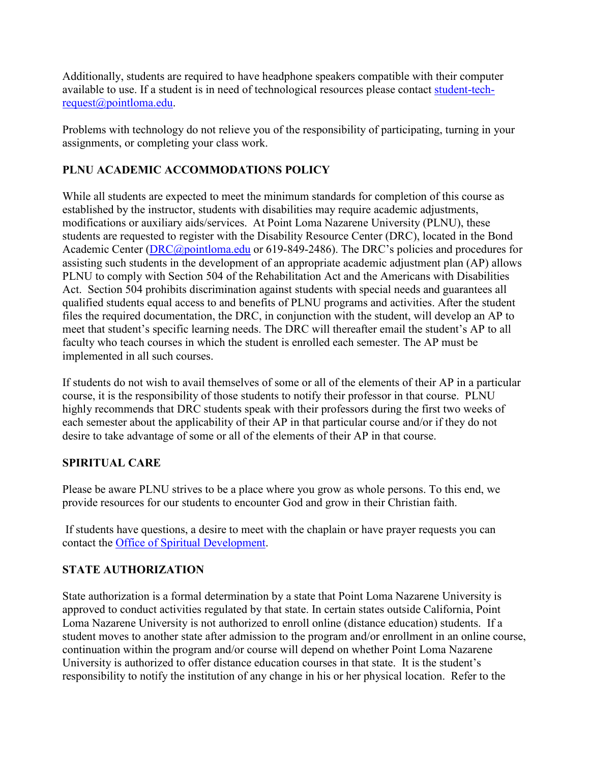Additionally, students are required to have headphone speakers compatible with their computer available to use. If a student is in need of technological resources please contact [student-tech](mailto:student-tech-request@pointloma.edu)[request@pointloma.edu.](mailto:student-tech-request@pointloma.edu)

Problems with technology do not relieve you of the responsibility of participating, turning in your assignments, or completing your class work.

# **PLNU ACADEMIC ACCOMMODATIONS POLICY**

While all students are expected to meet the minimum standards for completion of this course as established by the instructor, students with disabilities may require academic adjustments, modifications or auxiliary aids/services. At Point Loma Nazarene University (PLNU), these students are requested to register with the Disability Resource Center (DRC), located in the Bond Academic Center [\(DRC@pointloma.edu](mailto:DRC@pointloma.edu) or 619-849-2486). The DRC's policies and procedures for assisting such students in the development of an appropriate academic adjustment plan (AP) allows PLNU to comply with Section 504 of the Rehabilitation Act and the Americans with Disabilities Act. Section 504 prohibits discrimination against students with special needs and guarantees all qualified students equal access to and benefits of PLNU programs and activities. After the student files the required documentation, the DRC, in conjunction with the student, will develop an AP to meet that student's specific learning needs. The DRC will thereafter email the student's AP to all faculty who teach courses in which the student is enrolled each semester. The AP must be implemented in all such courses.

If students do not wish to avail themselves of some or all of the elements of their AP in a particular course, it is the responsibility of those students to notify their professor in that course. PLNU highly recommends that DRC students speak with their professors during the first two weeks of each semester about the applicability of their AP in that particular course and/or if they do not desire to take advantage of some or all of the elements of their AP in that course.

# **SPIRITUAL CARE**

Please be aware PLNU strives to be a place where you grow as whole persons. To this end, we provide resources for our students to encounter God and grow in their Christian faith.

If students have questions, a desire to meet with the chaplain or have prayer requests you can contact the [Office of Spiritual Development.](https://www.pointloma.edu/offices/spiritual-development)

# **STATE AUTHORIZATION**

State authorization is a formal determination by a state that Point Loma Nazarene University is approved to conduct activities regulated by that state. In certain states outside California, Point Loma Nazarene University is not authorized to enroll online (distance education) students. If a student moves to another state after admission to the program and/or enrollment in an online course, continuation within the program and/or course will depend on whether Point Loma Nazarene University is authorized to offer distance education courses in that state. It is the student's responsibility to notify the institution of any change in his or her physical location. Refer to the